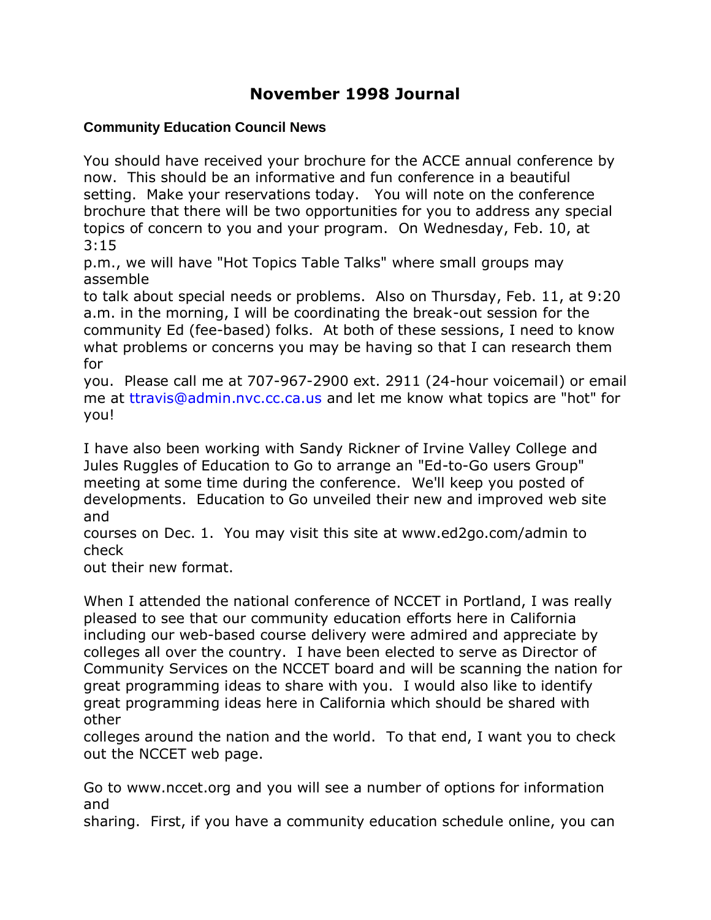# **November 1998 Journal**

## **Community Education Council News**

You should have received your brochure for the ACCE annual conference by now. This should be an informative and fun conference in a beautiful setting. Make your reservations today. You will note on the conference brochure that there will be two opportunities for you to address any special topics of concern to you and your program. On Wednesday, Feb. 10, at 3:15

p.m., we will have "Hot Topics Table Talks" where small groups may assemble

to talk about special needs or problems. Also on Thursday, Feb. 11, at 9:20 a.m. in the morning, I will be coordinating the break-out session for the community Ed (fee-based) folks. At both of these sessions, I need to know what problems or concerns you may be having so that I can research them for

you. Please call me at 707-967-2900 ext. 2911 (24-hour voicemail) or email me at [ttravis@admin.nvc.cc.ca.us](mailto:ttravis@admin.nvc.cc.ca.us) and let me know what topics are "hot" for you!

I have also been working with Sandy Rickner of Irvine Valley College and Jules Ruggles of Education to Go to arrange an "Ed-to-Go users Group" meeting at some time during the conference. We'll keep you posted of developments. Education to Go unveiled their new and improved web site and

courses on Dec. 1. You may visit this site at www.ed2go.com/admin to check

out their new format.

When I attended the national conference of NCCET in Portland, I was really pleased to see that our community education efforts here in California including our web-based course delivery were admired and appreciate by colleges all over the country. I have been elected to serve as Director of Community Services on the NCCET board and will be scanning the nation for great programming ideas to share with you. I would also like to identify great programming ideas here in California which should be shared with other

colleges around the nation and the world. To that end, I want you to check out the NCCET web page.

Go to www.nccet.org and you will see a number of options for information and

sharing. First, if you have a community education schedule online, you can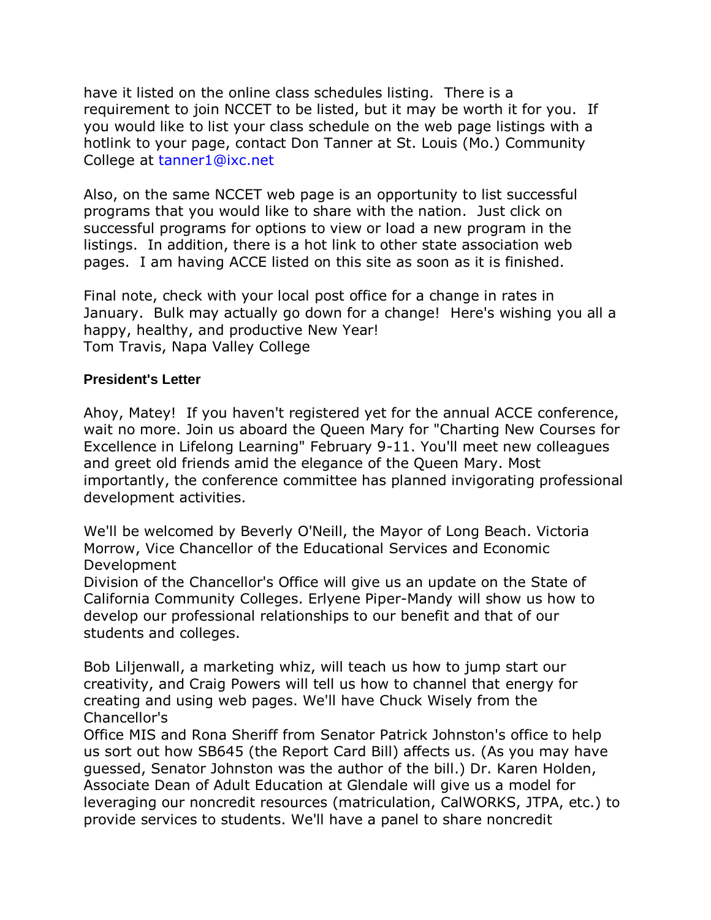have it listed on the online class schedules listing. There is a requirement to join NCCET to be listed, but it may be worth it for you. If you would like to list your class schedule on the web page listings with a hotlink to your page, contact Don Tanner at St. Louis (Mo.) Community College at [tanner1@ixc.net](mailto:tanner1@ixc.net)

Also, on the same NCCET web page is an opportunity to list successful programs that you would like to share with the nation. Just click on successful programs for options to view or load a new program in the listings. In addition, there is a hot link to other state association web pages. I am having ACCE listed on this site as soon as it is finished.

Final note, check with your local post office for a change in rates in January. Bulk may actually go down for a change! Here's wishing you all a happy, healthy, and productive New Year! Tom Travis, Napa Valley College

#### **President's Letter**

Ahoy, Matey! If you haven't registered yet for the annual ACCE conference, wait no more. Join us aboard the Queen Mary for "Charting New Courses for Excellence in Lifelong Learning" February 9-11. You'll meet new colleagues and greet old friends amid the elegance of the Queen Mary. Most importantly, the conference committee has planned invigorating professional development activities.

We'll be welcomed by Beverly O'Neill, the Mayor of Long Beach. Victoria Morrow, Vice Chancellor of the Educational Services and Economic Development

Division of the Chancellor's Office will give us an update on the State of California Community Colleges. Erlyene Piper-Mandy will show us how to develop our professional relationships to our benefit and that of our students and colleges.

Bob Liljenwall, a marketing whiz, will teach us how to jump start our creativity, and Craig Powers will tell us how to channel that energy for creating and using web pages. We'll have Chuck Wisely from the Chancellor's

Office MIS and Rona Sheriff from Senator Patrick Johnston's office to help us sort out how SB645 (the Report Card Bill) affects us. (As you may have guessed, Senator Johnston was the author of the bill.) Dr. Karen Holden, Associate Dean of Adult Education at Glendale will give us a model for leveraging our noncredit resources (matriculation, CalWORKS, JTPA, etc.) to provide services to students. We'll have a panel to share noncredit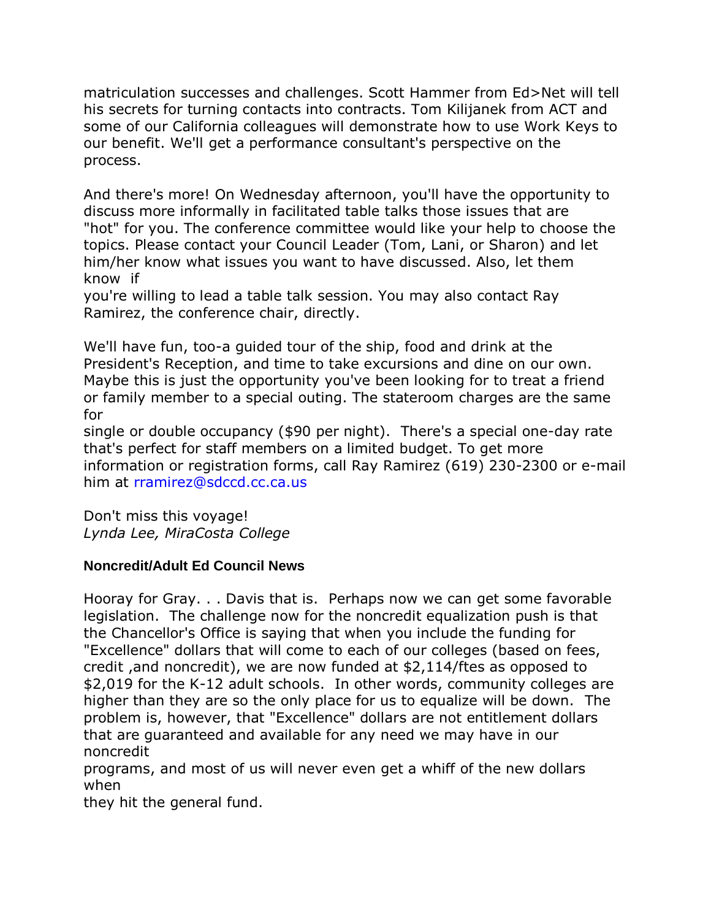matriculation successes and challenges. Scott Hammer from Ed>Net will tell his secrets for turning contacts into contracts. Tom Kilijanek from ACT and some of our California colleagues will demonstrate how to use Work Keys to our benefit. We'll get a performance consultant's perspective on the process.

And there's more! On Wednesday afternoon, you'll have the opportunity to discuss more informally in facilitated table talks those issues that are "hot" for you. The conference committee would like your help to choose the topics. Please contact your Council Leader (Tom, Lani, or Sharon) and let him/her know what issues you want to have discussed. Also, let them know if

you're willing to lead a table talk session. You may also contact Ray Ramirez, the conference chair, directly.

We'll have fun, too-a guided tour of the ship, food and drink at the President's Reception, and time to take excursions and dine on our own. Maybe this is just the opportunity you've been looking for to treat a friend or family member to a special outing. The stateroom charges are the same for

single or double occupancy (\$90 per night). There's a special one-day rate that's perfect for staff members on a limited budget. To get more information or registration forms, call Ray Ramirez (619) 230-2300 or e-mail him at [rramirez@sdccd.cc.ca.us](mailto:rramirez@sdccd.cc.ca.us)

Don't miss this voyage! *Lynda Lee, MiraCosta College*

## **Noncredit/Adult Ed Council News**

Hooray for Gray. . . Davis that is. Perhaps now we can get some favorable legislation. The challenge now for the noncredit equalization push is that the Chancellor's Office is saying that when you include the funding for "Excellence" dollars that will come to each of our colleges (based on fees, credit ,and noncredit), we are now funded at \$2,114/ftes as opposed to \$2,019 for the K-12 adult schools. In other words, community colleges are higher than they are so the only place for us to equalize will be down. The problem is, however, that "Excellence" dollars are not entitlement dollars that are guaranteed and available for any need we may have in our noncredit

programs, and most of us will never even get a whiff of the new dollars when

they hit the general fund.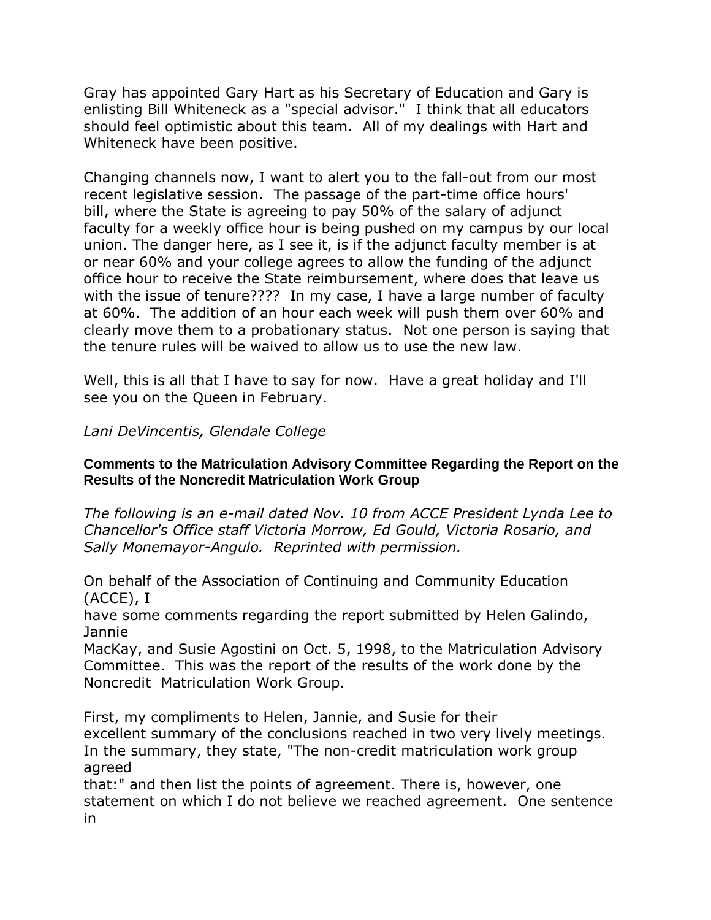Gray has appointed Gary Hart as his Secretary of Education and Gary is enlisting Bill Whiteneck as a "special advisor." I think that all educators should feel optimistic about this team. All of my dealings with Hart and Whiteneck have been positive.

Changing channels now, I want to alert you to the fall-out from our most recent legislative session. The passage of the part-time office hours' bill, where the State is agreeing to pay 50% of the salary of adjunct faculty for a weekly office hour is being pushed on my campus by our local union. The danger here, as I see it, is if the adjunct faculty member is at or near 60% and your college agrees to allow the funding of the adjunct office hour to receive the State reimbursement, where does that leave us with the issue of tenure???? In my case, I have a large number of faculty at 60%. The addition of an hour each week will push them over 60% and clearly move them to a probationary status. Not one person is saying that the tenure rules will be waived to allow us to use the new law.

Well, this is all that I have to say for now. Have a great holiday and I'll see you on the Queen in February.

*Lani DeVincentis, Glendale College*

#### **Comments to the Matriculation Advisory Committee Regarding the Report on the Results of the Noncredit Matriculation Work Group**

*The following is an e-mail dated Nov. 10 from ACCE President Lynda Lee to Chancellor's Office staff Victoria Morrow, Ed Gould, Victoria Rosario, and Sally Monemayor-Angulo. Reprinted with permission.*

On behalf of the Association of Continuing and Community Education (ACCE), I

have some comments regarding the report submitted by Helen Galindo, Jannie

MacKay, and Susie Agostini on Oct. 5, 1998, to the Matriculation Advisory Committee. This was the report of the results of the work done by the Noncredit Matriculation Work Group.

First, my compliments to Helen, Jannie, and Susie for their excellent summary of the conclusions reached in two very lively meetings. In the summary, they state, "The non-credit matriculation work group agreed

that:" and then list the points of agreement. There is, however, one statement on which I do not believe we reached agreement. One sentence in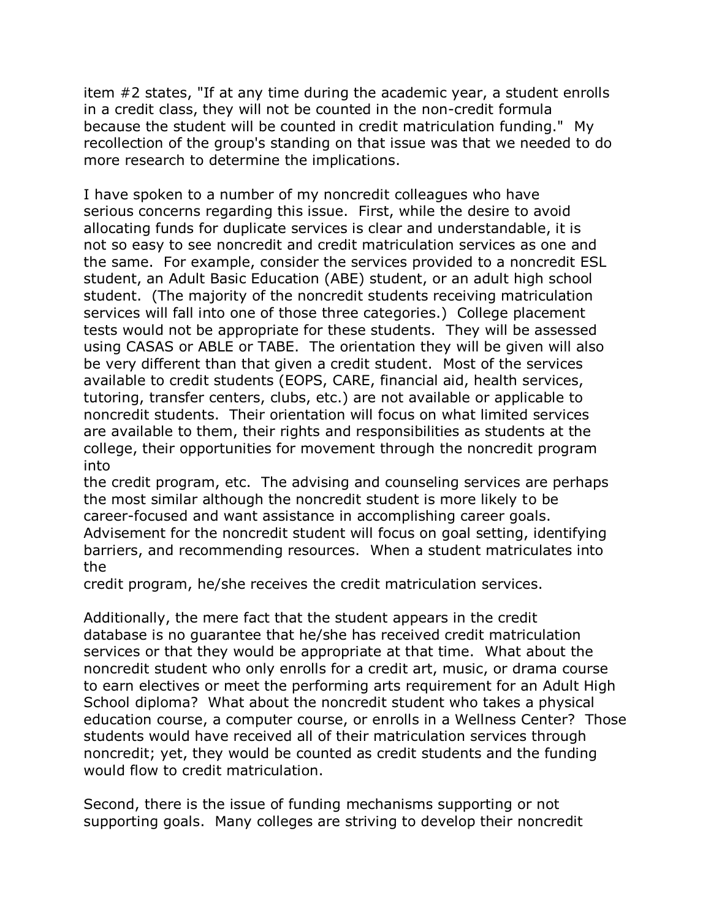item #2 states, "If at any time during the academic year, a student enrolls in a credit class, they will not be counted in the non-credit formula because the student will be counted in credit matriculation funding." My recollection of the group's standing on that issue was that we needed to do more research to determine the implications.

I have spoken to a number of my noncredit colleagues who have serious concerns regarding this issue. First, while the desire to avoid allocating funds for duplicate services is clear and understandable, it is not so easy to see noncredit and credit matriculation services as one and the same. For example, consider the services provided to a noncredit ESL student, an Adult Basic Education (ABE) student, or an adult high school student. (The majority of the noncredit students receiving matriculation services will fall into one of those three categories.) College placement tests would not be appropriate for these students. They will be assessed using CASAS or ABLE or TABE. The orientation they will be given will also be very different than that given a credit student. Most of the services available to credit students (EOPS, CARE, financial aid, health services, tutoring, transfer centers, clubs, etc.) are not available or applicable to noncredit students. Their orientation will focus on what limited services are available to them, their rights and responsibilities as students at the college, their opportunities for movement through the noncredit program into

the credit program, etc. The advising and counseling services are perhaps the most similar although the noncredit student is more likely to be career-focused and want assistance in accomplishing career goals. Advisement for the noncredit student will focus on goal setting, identifying barriers, and recommending resources. When a student matriculates into the

credit program, he/she receives the credit matriculation services.

Additionally, the mere fact that the student appears in the credit database is no guarantee that he/she has received credit matriculation services or that they would be appropriate at that time. What about the noncredit student who only enrolls for a credit art, music, or drama course to earn electives or meet the performing arts requirement for an Adult High School diploma? What about the noncredit student who takes a physical education course, a computer course, or enrolls in a Wellness Center? Those students would have received all of their matriculation services through noncredit; yet, they would be counted as credit students and the funding would flow to credit matriculation.

Second, there is the issue of funding mechanisms supporting or not supporting goals. Many colleges are striving to develop their noncredit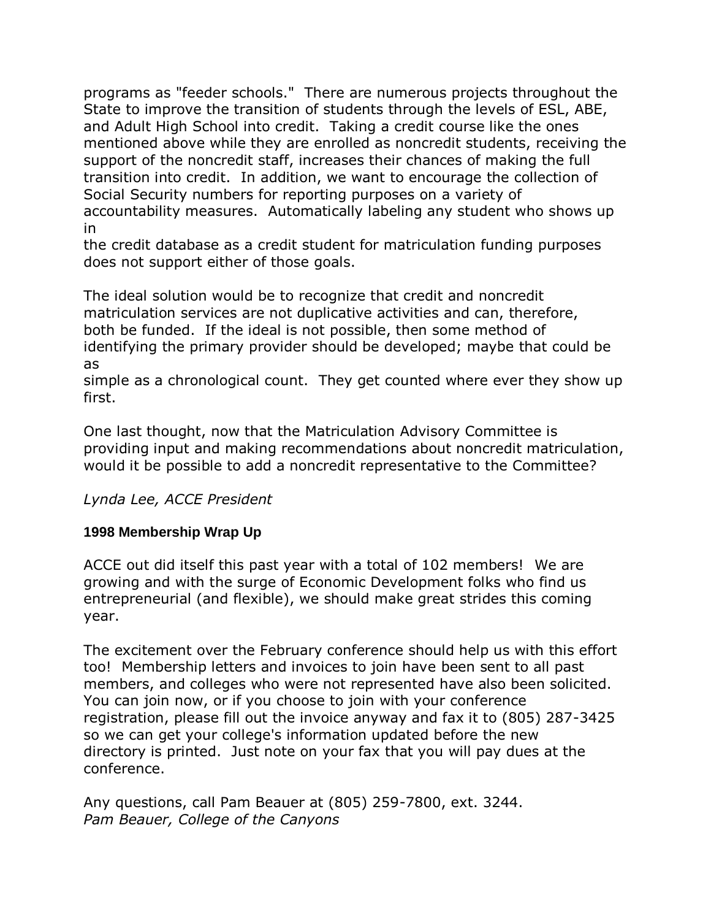programs as "feeder schools." There are numerous projects throughout the State to improve the transition of students through the levels of ESL, ABE, and Adult High School into credit. Taking a credit course like the ones mentioned above while they are enrolled as noncredit students, receiving the support of the noncredit staff, increases their chances of making the full transition into credit. In addition, we want to encourage the collection of Social Security numbers for reporting purposes on a variety of accountability measures. Automatically labeling any student who shows up in

the credit database as a credit student for matriculation funding purposes does not support either of those goals.

The ideal solution would be to recognize that credit and noncredit matriculation services are not duplicative activities and can, therefore, both be funded. If the ideal is not possible, then some method of identifying the primary provider should be developed; maybe that could be as

simple as a chronological count. They get counted where ever they show up first.

One last thought, now that the Matriculation Advisory Committee is providing input and making recommendations about noncredit matriculation, would it be possible to add a noncredit representative to the Committee?

# *Lynda Lee, ACCE President*

# **1998 Membership Wrap Up**

ACCE out did itself this past year with a total of 102 members! We are growing and with the surge of Economic Development folks who find us entrepreneurial (and flexible), we should make great strides this coming year.

The excitement over the February conference should help us with this effort too! Membership letters and invoices to join have been sent to all past members, and colleges who were not represented have also been solicited. You can join now, or if you choose to join with your conference registration, please fill out the invoice anyway and fax it to (805) 287-3425 so we can get your college's information updated before the new directory is printed. Just note on your fax that you will pay dues at the conference.

Any questions, call Pam Beauer at (805) 259-7800, ext. 3244. *Pam Beauer, College of the Canyons*